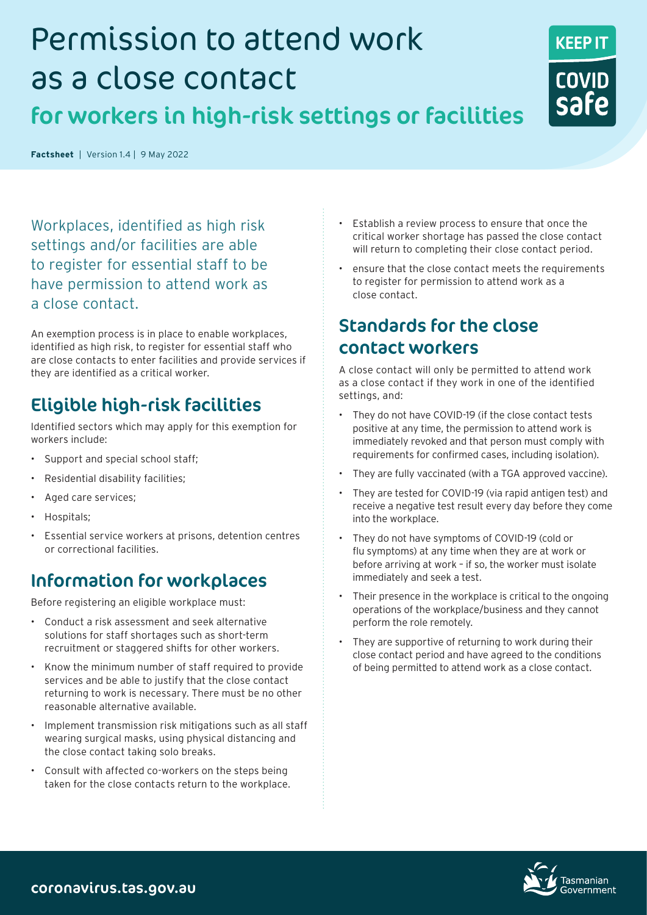# Permission to attend work as a close contact

# for workers in high-risk settings or facilities

Workplaces, identified as high risk settings and/or facilities are able to register for essential staff to be have permission to attend work as a close contact.

**Factsheet**|Version 1.4 |9 May 2022

An exemption process is in place to enable workplaces, identified as high risk, to register for essential staff who are close contacts to enter facilities and provide services if they are identified as a critical worker.

## Eligible high-risk facilities

Identified sectors which may apply for this exemption for workers include:

- Support and special school staff;
- Residential disability facilities;
- Aged care services;
- Hospitals;
- Essential service workers at prisons, detention centres or correctional facilities.

### Information for workplaces

Before registering an eligible workplace must:

- Conduct a risk assessment and seek alternative solutions for staff shortages such as short-term recruitment or staggered shifts for other workers.
- Know the minimum number of staff required to provide services and be able to justify that the close contact returning to work is necessary. There must be no other reasonable alternative available.
- Implement transmission risk mitigations such as all staff wearing surgical masks, using physical distancing and the close contact taking solo breaks.
- Consult with affected co-workers on the steps being taken for the close contacts return to the workplace.
- Establish a review process to ensure that once the critical worker shortage has passed the close contact will return to completing their close contact period.
- ensure that the close contact meets the requirements to register for permission to attend work as a close contact.

### Standards for the close contact workers

A close contact will only be permitted to attend work as a close contact if they work in one of the identified settings, and:

- They do not have COVID-19 (if the close contact tests positive at any time, the permission to attend work is immediately revoked and that person must comply with requirements for confirmed cases, including isolation).
- They are fully vaccinated (with a TGA approved vaccine).
- They are tested for COVID-19 (via rapid antigen test) and receive a negative test result every day before they come into the workplace.
- They do not have symptoms of COVID-19 (cold or flu symptoms) at any time when they are at work or before arriving at work – if so, the worker must isolate immediately and seek a test.
- Their presence in the workplace is critical to the ongoing operations of the workplace/business and they cannot perform the role remotely.
- They are supportive of returning to work during their close contact period and have agreed to the conditions of being permitted to attend work as a close contact.